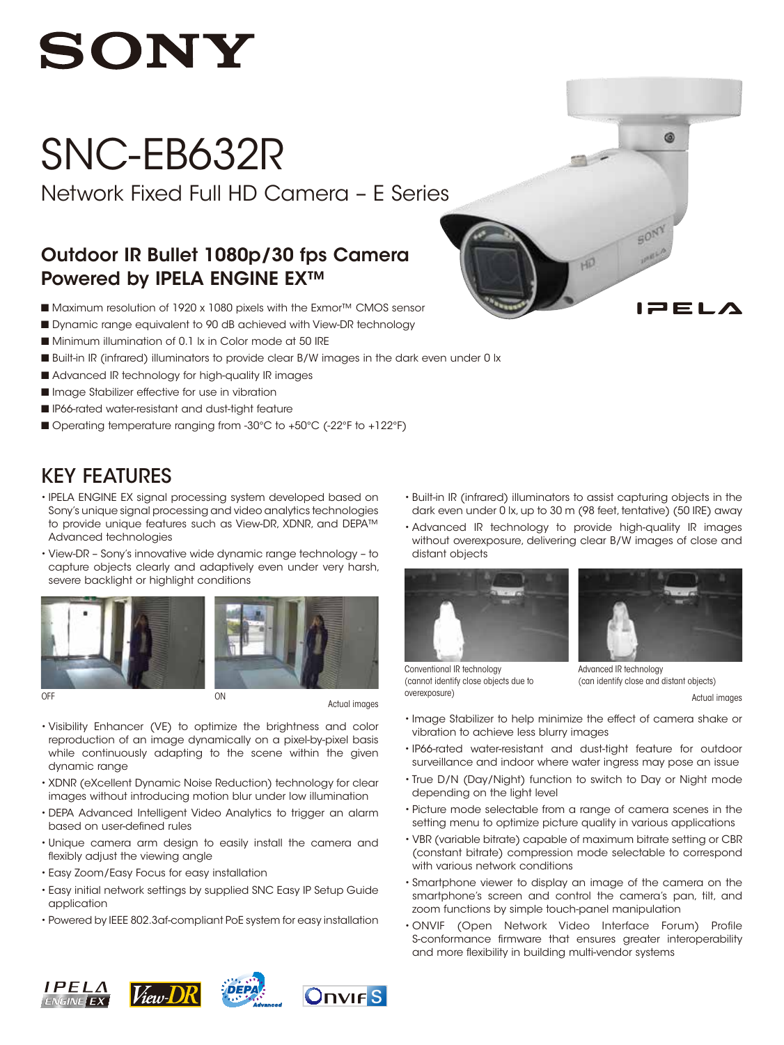

# SNC-EB632R

Network Fixed Full HD Camera – E Series

### Outdoor IR Bullet 1080p/30 fps Camera Powered by IPELA ENGINE EX™

- Maximum resolution of 1920 x 1080 pixels with the Exmor™ CMOS sensor
- Dynamic range equivalent to 90 dB achieved with View-DR technology
- Minimum illumination of 0.1 lx in Color mode at 50 IRE
- Built-in IR (infrared) illuminators to provide clear B/W images in the dark even under 0 lx
- Advanced IR technology for high-quality IR images
- Image Stabilizer effective for use in vibration
- **n** IP66-rated water-resistant and dust-tight feature
- Operating temperature ranging from -30°C to +50°C (-22°F to +122°F)

## KEY FEATURES

- IPELA ENGINE EX signal processing system developed based on Sony's unique signal processing and video analytics technologies to provide unique features such as View-DR, XDNR, and DEPA™ Advanced technologies
- • View-DR Sony's innovative wide dynamic range technology to capture objects clearly and adaptively even under very harsh, severe backlight or highlight conditions





Actual images

- • Visibility Enhancer (VE) to optimize the brightness and color reproduction of an image dynamically on a pixel-by-pixel basis while continuously adapting to the scene within the given dynamic range
- XDNR (eXcellent Dynamic Noise Reduction) technology for clear images without introducing motion blur under low illumination
- • DEPA Advanced Intelligent Video Analytics to trigger an alarm based on user-defined rules
- • Unique camera arm design to easily install the camera and flexibly adjust the viewing angle
- • Easy Zoom/Easy Focus for easy installation
- • Easy initial network settings by supplied SNC Easy IP Setup Guide application
- Powered by IEEE 802.3af-compliant PoE system for easy installation

• Built-in IR (infrared) illuminators to assist capturing objects in the dark even under 0 lx, up to 30 m (98 feet, tentative) (50 IRE) away

HD

• Advanced IR technology to provide high-quality IR images without overexposure, delivering clear B/W images of close and distant objects





**ca** 

3 F I A

OFF **OFF** Actual images of the contract of the contract of the contract of the contract of the contract of the contract of the contract of the contract of the contract of the contract of the contract of the contract of the Conventional IR technology (cannot identify close objects due to overexposure)

Advanced IR technology (can identify close and distant objects)

- • Image Stabilizer to help minimize the effect of camera shake or vibration to achieve less blurry images
- • IP66-rated water-resistant and dust-tight feature for outdoor surveillance and indoor where water ingress may pose an issue
- True D/N (Day/Night) function to switch to Day or Night mode depending on the light level
- • Picture mode selectable from a range of camera scenes in the setting menu to optimize picture quality in various applications
- • VBR (variable bitrate) capable of maximum bitrate setting or CBR (constant bitrate) compression mode selectable to correspond with various network conditions
- • Smartphone viewer to display an image of the camera on the smartphone's screen and control the camera's pan, tilt, and zoom functions by simple touch-panel manipulation
- • ONVIF (Open Network Video Interface Forum) Profile S-conformance firmware that ensures greater interoperability and more flexibility in building multi-vendor systems